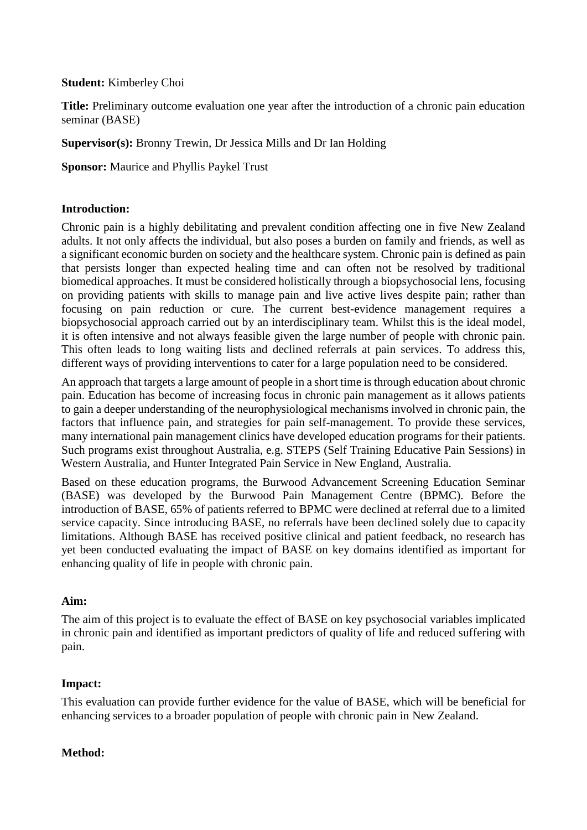#### **Student:** Kimberley Choi

**Title:** Preliminary outcome evaluation one year after the introduction of a chronic pain education seminar (BASE)

**Supervisor(s):** Bronny Trewin, Dr Jessica Mills and Dr Ian Holding

**Sponsor:** Maurice and Phyllis Paykel Trust

# **Introduction:**

Chronic pain is a highly debilitating and prevalent condition affecting one in five New Zealand adults. It not only affects the individual, but also poses a burden on family and friends, as well as a significant economic burden on society and the healthcare system. Chronic pain is defined as pain that persists longer than expected healing time and can often not be resolved by traditional biomedical approaches. It must be considered holistically through a biopsychosocial lens, focusing on providing patients with skills to manage pain and live active lives despite pain; rather than focusing on pain reduction or cure. The current best-evidence management requires a biopsychosocial approach carried out by an interdisciplinary team. Whilst this is the ideal model, it is often intensive and not always feasible given the large number of people with chronic pain. This often leads to long waiting lists and declined referrals at pain services. To address this, different ways of providing interventions to cater for a large population need to be considered.

An approach that targets a large amount of people in a short time is through education about chronic pain. Education has become of increasing focus in chronic pain management as it allows patients to gain a deeper understanding of the neurophysiological mechanisms involved in chronic pain, the factors that influence pain, and strategies for pain self-management. To provide these services, many international pain management clinics have developed education programs for their patients. Such programs exist throughout Australia, e.g. STEPS (Self Training Educative Pain Sessions) in Western Australia, and Hunter Integrated Pain Service in New England, Australia.

Based on these education programs, the Burwood Advancement Screening Education Seminar (BASE) was developed by the Burwood Pain Management Centre (BPMC). Before the introduction of BASE, 65% of patients referred to BPMC were declined at referral due to a limited service capacity. Since introducing BASE, no referrals have been declined solely due to capacity limitations. Although BASE has received positive clinical and patient feedback, no research has yet been conducted evaluating the impact of BASE on key domains identified as important for enhancing quality of life in people with chronic pain.

# **Aim:**

The aim of this project is to evaluate the effect of BASE on key psychosocial variables implicated in chronic pain and identified as important predictors of quality of life and reduced suffering with pain.

# **Impact:**

This evaluation can provide further evidence for the value of BASE, which will be beneficial for enhancing services to a broader population of people with chronic pain in New Zealand.

#### **Method:**